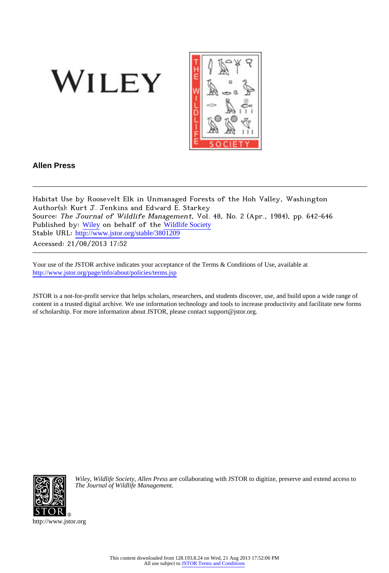



# **Allen Press**

Habitat Use by Roosevelt Elk in Unmanaged Forests of the Hoh Valley, Washington Author(s): Kurt J. Jenkins and Edward E. Starkey Source: The Journal of Wildlife Management, Vol. 48, No. 2 (Apr., 1984), pp. 642-646 Published by: [Wiley](http://www.jstor.org/action/showPublisher?publisherCode=black) on behalf of the [Wildlife Society](http://www.jstor.org/action/showPublisher?publisherCode=wildlife) Stable URL: [http://www.jstor.org/stable/3801209](http://www.jstor.org/stable/3801209?origin=JSTOR-pdf)

Accessed: 21/08/2013 17:52

Your use of the JSTOR archive indicates your acceptance of the Terms & Conditions of Use, available at <http://www.jstor.org/page/info/about/policies/terms.jsp>

JSTOR is a not-for-profit service that helps scholars, researchers, and students discover, use, and build upon a wide range of content in a trusted digital archive. We use information technology and tools to increase productivity and facilitate new forms of scholarship. For more information about JSTOR, please contact support@jstor.org.



*Wiley*, *Wildlife Society*, *Allen Press* are collaborating with JSTOR to digitize, preserve and extend access to *The Journal of Wildlife Management.*

http://www.jstor.org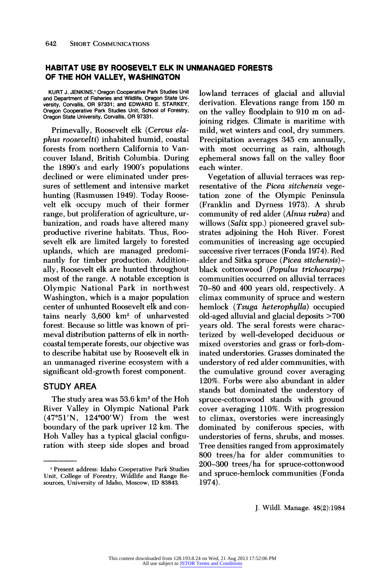## **HABITAT USE BY ROOSEVELT ELK IN UNMANAGED FORESTS OF THE HOH VALLEY, WASHINGTON**

**KURT J. JENKINS,' Oregon Cooperative Park Studies Unit and Department of Fisheries and Wildlife, Oregon State University, Corvallis, OR 97331; and EDWARD E. STARKEY, Oregon Cooperative Park Studies Unit, School of Forestry, Oregon State University, Corvallis, OR 97331.** 

**Primevally, Roosevelt elk (Cervus elaphus roosevelti) inhabited humid, coastal forests from northern California to Vancouver Island, British Columbia. During the 1890's and early 1900's populations declined or were eliminated under pressures of settlement and intensive market hunting (Rasmussen 1949). Today Roosevelt elk occupy much of their former range, but proliferation of agriculture, urbanization, and roads have altered many productive riverine habitats. Thus, Roosevelt elk are limited largely to forested uplands, which are managed predominantly for timber production. Additionally, Roosevelt elk are hunted throughout most of the range. A notable exception is Olympic National Park in northwest Washington, which is a major population center of unhunted Roosevelt elk and contains nearly 3,600 km2 of unharvested forest. Because so little was known of primeval distribution patterns of elk in northcoastal temperate forests, our objective was to describe habitat use by Roosevelt elk in an unmanaged riverine ecosystem with a significant old-growth forest component.** 

## **STUDY AREA**

**The study area was 53.6 km2 of the Hoh River Valley in Olympic National Park (47051'N, 124000'W) from the west boundary of the park upriver 12 km. The Hoh Valley has a typical glacial configuration with steep side slopes and broad** 

**lowland terraces of glacial and alluvial derivation. Elevations range from 150 m on the valley floodplain to 910 m on adjoining ridges. Climate is maritime with mild, wet winters and cool, dry summers. Precipitation averages 345 cm annually, with most occurring as rain, although ephemeral snows fall on the valley floor each winter.** 

**Vegetation of alluvial terraces was representative of the Picea sitchensis vegetation zone of the Olympic Peninsula (Franklin and Dyrness 1973). A shrub community of red alder (Alnus rubra) and willows (Salix spp.) pioneered gravel substrates adjoining the Hoh River. Forest communities of increasing age occupied successive river terraces (Fonda 1974). Red alder and Sitka spruce (Picea sitchensis) black cottonwood (Populus trichocarpa) communities occurred on alluvial terraces 70-80 and 400 years old, respectively. A climax community of spruce and western hemlock (Tsuga heterophylla) occupied old-aged alluvial and glacial deposits > 700 years old. The seral forests were characterized by well-developed deciduous or mixed overstories and grass or forb-dominated understories. Grasses dominated the understory of red alder communities, with the cumulative ground cover averaging 120%. Forbs were also abundant in alder stands but dominated the understory of spruce-cottonwood stands with ground cover averaging 110%. With progression to climax, overstories were increasingly dominated by coniferous species, with understories of ferns, shrubs, and mosses. Tree densities ranged from approximately 800 trees/ha for alder communities to 200-300 trees/ha for spruce-cottonwood and spruce-hemlock communities (Fonda 1974).** 

**<sup>&#</sup>x27;Present address: Idaho Cooperative Park Studies Unit, College of Forestry, Wildlife and Range Resources, University of Idaho, Moscow, ID 83843.**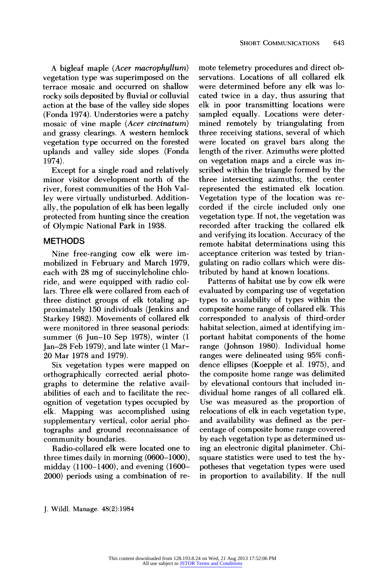**A bigleaf maple (Acer macrophyllum) vegetation type was superimposed on the terrace mosaic and occurred on shallow rocky soils deposited by fluvial or colluvial action at the base of the valley side slopes (Fonda 1974). Understories were a patchy mosaic of vine maple (Acer circinatum) and grassy clearings. A western hemlock vegetation type occurred on the forested uplands and valley side slopes (Fonda 1974).** 

**Except for a single road and relatively minor visitor development north of the river, forest communities of the Hoh Valley were virtually undisturbed. Additionally, the population of elk has been legally protected from hunting since the creation of Olympic National Park in 1938.** 

## **METHODS**

**Nine free-ranging cow elk were immobilized in February and March 1979, each with 28 mg of succinylcholine chloride, and were equipped with radio collars. Three elk were collared from each of three distinct groups of elk totaling approximately 150 individuals (Jenkins and Starkey 1982). Movements of collared elk were monitored in three seasonal periods: summer (6 Jun-10 Sep 1978), winter (1 Jan-28 Feb 1979), and late winter (1 Mar-20 Mar 1978 and 1979).** 

**Six vegetation types were mapped on orthographically corrected aerial photographs to determine the relative availabilities of each and to facilitate the recognition of vegetation types occupied by elk. Mapping was accomplished using supplementary vertical, color aerial pho**community boundaries. **and ground reconnaissance of** 

**Radio-collared elk were located one to three times daily in morning (0600-1000), midday (1100-1400), and evening (1600- 2000) periods using a combination of re-** **mote telemetry procedures and direct observations. Locations of all collared elk were determined before any elk was located twice in a day, thus assuring that elk in poor transmitting locations were sampled equally. Locations were determined remotely by triangulating from three receiving stations, several of which were located on gravel bars along the length of the river. Azimuths were plotted on vegetation maps and a circle was inscribed within the triangle formed by the three intersecting azimuths; the center represented the estimated elk location. Vegetation type of the location was recorded if the circle included only one vegetation type. If not, the vegetation was recorded after tracking the collared elk and verifying its location. Accuracy of the remote habitat determinations using this acceptance criterion was tested by triangulating on radio collars which were distributed by hand at known locations.** 

**Patterns of habitat use by cow elk were evaluated by comparing use of vegetation types to availability of types within the composite home range of collared elk. This corresponded to analysis of third-order habitat selection, aimed at identifying important habitat components of the home range (Johnson 1980). Individual home ranges were delineated using 95% confidence ellipses (Koepple et al. 1975), and the composite home range was delimited by elevational contours that included individual home ranges of all collared elk. Use was measured as the proportion of relocations of elk in each vegetation type, and availability was defined as the percentage of composite home range covered by each vegetation type as determined using an electronic digital planimeter. Chisquare statistics were used to test the hypotheses that vegetation types were used in proportion to availability. If the null**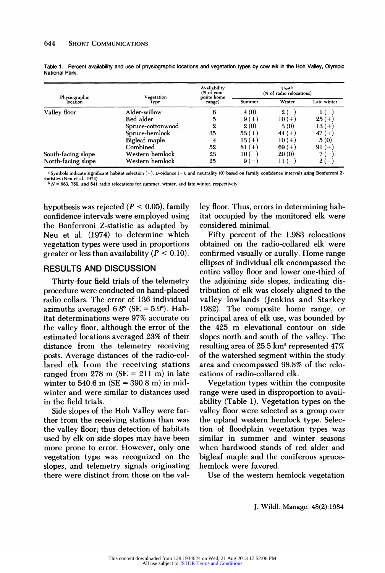| Physiographic<br>location | Vegetation<br>type | Availability<br>$%$ of com-<br>posite home<br>range) | Use <sup>a,b</sup><br>(% of radio relocations) |          |             |
|---------------------------|--------------------|------------------------------------------------------|------------------------------------------------|----------|-------------|
|                           |                    |                                                      | Summer                                         | Winter   | Late winter |
| Valley floor              | Alder-willow       | 6                                                    | 4(0)                                           | $2(-$    |             |
|                           | Red alder          | 5                                                    | $9(+)$                                         | $10 (+)$ | $25(+)$     |
|                           | Spruce-cottonwood  | 2                                                    | 2(0)                                           | 3(0)     | $13(+)$     |
|                           | Spruce-hemlock     | 35                                                   | $53(+)$                                        | $44 (+)$ | $47 (+)$    |
|                           | Bigleaf maple      | 4                                                    | $13(+)$                                        | $10 (+)$ | 5(0)        |
|                           | Combined           | 52                                                   | $81 (+)$                                       | $69(+)$  | $91 (+)$    |
| South-facing slope        | Western hemlock    | 23                                                   | $10(-)$                                        | 20(0)    | 7 ( —       |
| North-facing slope        | Western hemlock    | 25                                                   | $9(-$                                          | $11(-$   | $2(-)$      |

**Table 1. Percent availability and use of physiographic locations and vegetation types by cow elk in the Hoh Valley, Olympic National Park.** 

**a Symbols indicate significant habitat selection (+), avoidance (-), and neutrality (0) based on family confidence intervals using Bonferroni Zstatistics (Neu et al. 1974).** 

 $b N = 683, 759,$  and 541 radio relocations for summer, winter, and late winter, respectively

**hypothesis was rejected (P < 0.05), family confidence intervals were employed using the Bonferroni Z-statistic as adapted by Neu et al. (1974) to determine which vegetation types were used in proportions**  greater or less than availability  $(P < 0.10)$ .

#### **RESULTS AND DISCUSSION**

**Thirty-four field trials of the telemetry procedure were conducted on hand-placed radio collars. The error of 136 individual**  azimuths averaged  $6.8^{\circ}$  (SE =  $5.9^{\circ}$ ). Hab**itat determinations were 97% accurate on the valley floor, although the error of the estimated locations averaged 23% of their distance from the telemetry receiving posts. Average distances of the radio-collared elk from the receiving stations ranged from 278 m (SE = 211 m) in late winter to 540.6 m (SE = 390.8 m) in midwinter and were similar to distances used in the field trials.** 

**Side slopes of the Hoh Valley were farther from the receiving stations than was the valley floor; thus detection of habitats used by elk on side slopes may have been more prone to error. However, only one vegetation type was recognized on the slopes, and telemetry signals originating there were distinct from those on the val-** **ley floor. Thus, errors in determining habitat occupied by the monitored elk were considered minimal.** 

**Fifty percent of the 1,983 relocations obtained on the radio-collared elk were confirmed visually or aurally. Home range ellipses of individual elk encompassed the entire valley floor and lower one-third of the adjoining side slopes, indicating distribution of elk was closely aligned to the valley lowlands (Jenkins and Starkey 1982). The composite home range, or principal area of elk use, was bounded by the 425 m elevational contour on side slopes north and south of the valley. The resulting area of 25.5 km2 represented 47% of the watershed segment within the study area and encompassed 98.8% of the relocations of radio-collared elk.** 

**Vegetation types within the composite range were used in disproportion to availability (Table 1). Vegetation types on the valley floor were selected as a group over the upland western hemlock type. Selection of floodplain vegetation types was similar in summer and winter seasons when hardwood stands of red alder and bigleaf maple and the coniferous sprucehemlock were favored.** 

**Use of the western hemlock vegetation**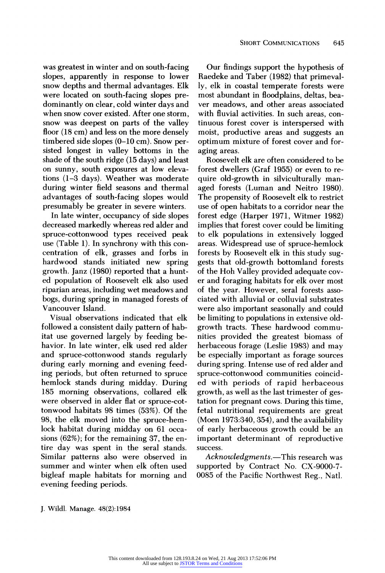**was greatest in winter and on south-facing slopes, apparently in response to lower snow depths and thermal advantages. Elk were located on south-facing slopes predominantly on clear, cold winter days and when snow cover existed. After one storm, snow was deepest on parts of the valley floor (18 cm) and less on the more densely timbered side slopes (0-10 cm). Snow persisted longest in valley bottoms in the shade of the south ridge (15 days) and least on sunny, south exposures at low elevations (1-3 days). Weather was moderate during winter field seasons and thermal advantages of south-facing slopes would presumably be greater in severe winters.** 

**In late winter, occupancy of side slopes decreased markedly whereas red alder and spruce-cottonwood types received peak use (Table 1). In synchrony with this concentration of elk, grasses and forbs in hardwood stands initiated new spring growth. Janz (1980) reported that a hunted population of Roosevelt elk also used riparian areas, including wet meadows and bogs, during spring in managed forests of Vancouver Island.** 

**Visual observations indicated that elk followed a consistent daily pattern of habitat use governed largely by feeding behavior. In late winter, elk used red alder and spruce-cottonwood stands regularly during early morning and evening feeding periods, but often returned to spruce hemlock stands during midday. During 185 morning observations, collared elk were observed in alder flat or spruce-cottonwood habitats 98 times (53%). Of the 98, the elk moved into the spruce-hemlock habitat during midday on 61 occasions (62%); for the remaining 37, the entire day was spent in the seral stands. Similar patterns also were observed in summer and winter when elk often used bigleaf maple habitats for morning and evening feeding periods.** 

**Our findings support the hypothesis of Raedeke and Taber (1982) that primevally, elk in coastal temperate forests were most abundant in floodplains, deltas, beaver meadows, and other areas associated with fluvial activities. In such areas, continuous forest cover is interspersed with moist, productive areas and suggests an optimum mixture of forest cover and foraging areas.** 

**Roosevelt elk are often considered to be forest dwellers (Graf 1955) or even to require old-growth in silviculturally managed forests (Luman and Neitro 1980). The propensity of Roosevelt elk to restrict use of open habitats to a corridor near the forest edge (Harper 1971, Witmer 1982) implies that forest cover could be limiting to elk populations in extensively logged areas. Widespread use of spruce-hemlock forests by Roosevelt elk in this study suggests that old-growth bottomland forests of the Hoh Valley provided adequate cover and foraging habitats for elk over most of the year. However, seral forests associated with alluvial or colluvial substrates were also important seasonally and could be limiting to populations in extensive oldgrowth tracts. These hardwood communities provided the greatest biomass of herbaceous forage (Leslie 1983) and may be especially important as forage sources during spring. Intense use of red alder and spruce-cottonwood communities coincided with periods of rapid herbaceous growth, as well as the last trimester of gestation for pregnant cows. During this time, fetal nutritional requirements are great (Moen 1973:340, 354), and the availability of early herbaceous growth could be an important determinant of reproductive success.** 

Acknowledgments.—This research was **supported by Contract No. CX-9000-7- 0085 of the Pacific Northwest Reg., Natl.**